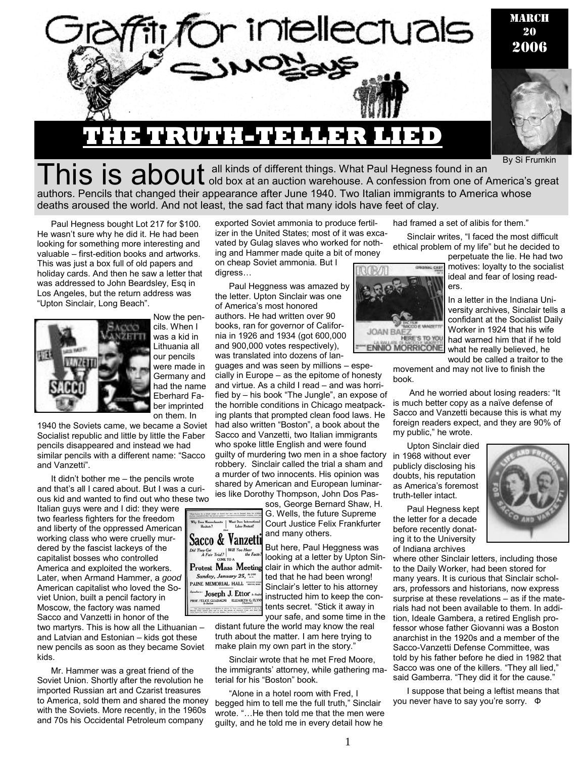

By Si Frumkin

This is about all kinds of different things. What Paul Hegness found in an By SIT HUIKIII authors. Pencils that changed their appearance after June 1940. Two Italian immigrants to America whose deaths aroused the world. And not least, the sad fact that many idols have feet of clay.

Paul Hegness bought Lot 217 for \$100. He wasn't sure why he did it. He had been looking for something more interesting and valuable – first-edition books and artworks. This was just a box full of old papers and holiday cards. And then he saw a letter that was addressed to John Beardsley, Esq in Los Angeles, but the return address was "Upton Sinclair, Long Beach".



Now the pencils. When I was a kid in Lithuania all our pencils were made in Germany and had the name Eberhard Faber imprinted on them. In

1940 the Soviets came, we became a Soviet Socialist republic and little by little the Faber pencils disappeared and instead we had similar pencils with a different name: "Sacco and Vanzetti".

It didn't bother me – the pencils wrote and that's all I cared about. But I was a curious kid and wanted to find out who these two Italian guys were and I did: they were two fearless fighters for the freedom and liberty of the oppressed American working class who were cruelly mur-Sacco & Vanzetti dered by the fascist lackeys of the Did They Get<br>A Fair Trial? Will You Hear<br>the Fac capitalist bosses who controlled **Protest Mass Meeting** America and exploited the workers. Sunday, January 25, \*\*\* Later, when Armand Hammer, a *good* PAINE MEMORIAL HALL " American capitalist who loved the Soviet Union, built a pencil factory in PROF. FELICE GU Moscow, the factory was named Sacco and Vanzetti in honor of the two martyrs. This is how all the Lithuanian –

and Latvian and Estonian – kids got these new pencils as soon as they became Soviet kids.

Mr. Hammer was a great friend of the Soviet Union. Shortly after the revolution he imported Russian art and Czarist treasures to America, sold them and shared the money with the Soviets. More recently, in the 1960s and 70s his Occidental Petroleum company

exported Soviet ammonia to produce fertilizer in the United States; most of it was excavated by Gulag slaves who worked for nothing and Hammer made quite a bit of money

on cheap Soviet ammonia. But I digress…

Paul Heggness was amazed by the letter. Upton Sinclair was one of America's most honored authors. He had written over 90 books, ran for governor of California in 1926 and 1934 (got 600,000 and 900,000 votes respectively), was translated into dozens of lan-

guages and was seen by millions – especially in Europe – as the epitome of honesty and virtue. As a child I read – and was horrified by – his book "The Jungle", an expose of the horrible conditions in Chicago meatpacking plants that prompted clean food laws. He had also written "Boston", a book about the Sacco and Vanzetti, two Italian immigrants who spoke little English and were found guilty of murdering two men in a shoe factory robbery. Sinclair called the trial a sham and a murder of two innocents. His opinion was shared by American and European luminaries like Dorothy Thompson, John Dos Pas-

sos, George Bernard Shaw, H. G. Wells, the future Supreme Court Justice Felix Frankfurter and many others.

But here, Paul Heggness was looking at a letter by Upton Sinclair in which the author admitted that he had been wrong! Sinclair's letter to his attorney instructed him to keep the contents secret. "Stick it away in

1

your safe, and some time in the distant future the world may know the real truth about the matter. I am here trying to make plain my own part in the story.'

" Joseph J. Ettor

ELIZABETH G. FLYN

Sinclair wrote that he met Fred Moore, the immigrants' attorney, while gathering material for his "Boston" book.

"Alone in a hotel room with Fred, I begged him to tell me the full truth," Sinclair wrote. "…He then told me that the men were guilty, and he told me in every detail how he

had framed a set of alibis for them."

Sinclair writes, "I faced the most difficult ethical problem of my life" but he decided to

**CCO E VANZETT JOAN BAF7** HERE'S TO YOU **MORRICONE** 

perpetuate the lie. He had two motives: loyalty to the socialist ideal and fear of losing readers.

In a letter in the Indiana University archives, Sinclair tells a confidant at the Socialist Daily Worker in 1924 that his wife had warned him that if he told what he really believed, he would be called a traitor to the

movement and may not live to finish the book.

 And he worried about losing readers: "It is much better copy as a naïve defense of Sacco and Vanzetti because this is what my foreign readers expect, and they are 90% of my public," he wrote.

Upton Sinclair died in 1968 without ever publicly disclosing his doubts, his reputation as America's foremost truth-teller intact.

Paul Hegness kept the letter for a decade before recently donating it to the University of Indiana archives

where other Sinclair letters, including those to the Daily Worker, had been stored for many years. It is curious that Sinclair scholars, professors and historians, now express surprise at these revelations – as if the materials had not been available to them. In addition, Ideale Gambera, a retired English professor whose father Giovanni was a Boston anarchist in the 1920s and a member of the Sacco-Vanzetti Defense Committee, was told by his father before he died in 1982 that Sacco was one of the killers. "They all lied," said Gamberra. "They did it for the cause."

I suppose that being a leftist means that you never have to say you're sorry. Ф

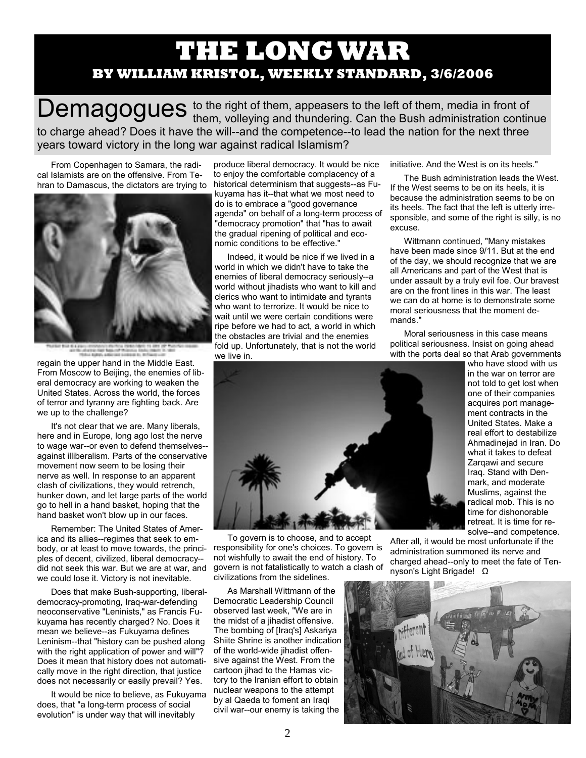## **THE LONG WAR BY WILLIAM KRISTOL, WEEKLY STANDARD, 3/6/2006**

Demagogues to the right of them, appeasers to the left of them, media in front of them, of them, volleying and thundering. Can the Bush administration continue to charge ahead? Does it have the will--and the competence--to lead the nation for the next three years toward victory in the long war against radical Islamism?

From Copenhagen to Samara, the radical Islamists are on the offensive. From Tehran to Damascus, the dictators are trying to



regain the upper hand in the Middle East. From Moscow to Beijing, the enemies of lib-

eral democracy are working to weaken the United States. Across the world, the forces of terror and tyranny are fighting back. Are we up to the challenge?

It's not clear that we are. Many liberals, here and in Europe, long ago lost the nerve to wage war--or even to defend themselves- against illiberalism. Parts of the conservative movement now seem to be losing their nerve as well. In response to an apparent clash of civilizations, they would retrench, hunker down, and let large parts of the world go to hell in a hand basket, hoping that the hand basket won't blow up in our faces.

Remember: The United States of America and its allies--regimes that seek to embody, or at least to move towards, the principles of decent, civilized, liberal democracy- did not seek this war. But we are at war, and we could lose it. Victory is not inevitable.

Does that make Bush-supporting, liberaldemocracy-promoting, Iraq-war-defending neoconservative "Leninists," as Francis Fukuyama has recently charged? No. Does it mean we believe--as Fukuyama defines Leninism--that "history can be pushed along with the right application of power and will"? Does it mean that history does not automatically move in the right direction, that justice does not necessarily or easily prevail? Yes.

It would be nice to believe, as Fukuyama does, that "a long-term process of social evolution" is under way that will inevitably

produce liberal democracy. It would be nice to enjoy the comfortable complacency of a historical determinism that suggests--as Fukuyama has it--that what we most need to do is to embrace a "good governance agenda" on behalf of a long-term process of "democracy promotion" that "has to await the gradual ripening of political and economic conditions to be effective."

Indeed, it would be nice if we lived in a world in which we didn't have to take the enemies of liberal democracy seriously--a world without jihadists who want to kill and clerics who want to intimidate and tyrants who want to terrorize. It would be nice to wait until we were certain conditions were ripe before we had to act, a world in which the obstacles are trivial and the enemies fold up. Unfortunately, that is not the world we live in.

initiative. And the West is on its heels."

The Bush administration leads the West. If the West seems to be on its heels, it is because the administration seems to be on its heels. The fact that the left is utterly irresponsible, and some of the right is silly, is no excuse.

Wittmann continued, "Many mistakes have been made since 9/11. But at the end of the day, we should recognize that we are all Americans and part of the West that is under assault by a truly evil foe. Our bravest are on the front lines in this war. The least we can do at home is to demonstrate some moral seriousness that the moment demands."

Moral seriousness in this case means political seriousness. Insist on going ahead with the ports deal so that Arab governments



To govern is to choose, and to accept responsibility for one's choices. To govern is not wishfully to await the end of history. To govern is not fatalistically to watch a clash of civilizations from the sidelines.

As Marshall Wittmann of the Democratic Leadership Council observed last week, "We are in the midst of a jihadist offensive. The bombing of [Iraq's] Askariya Shiite Shrine is another indication of the world-wide jihadist offensive against the West. From the cartoon jihad to the Hamas victory to the Iranian effort to obtain nuclear weapons to the attempt by al Qaeda to foment an Iraqi civil war--our enemy is taking the

who have stood with us in the war on terror are not told to get lost when one of their companies acquires port management contracts in the United States. Make a real effort to destabilize Ahmadinejad in Iran. Do what it takes to defeat Zarqawi and secure Iraq. Stand with Denmark, and moderate Muslims, against the radical mob. This is no time for dishonorable retreat. It is time for resolve--and competence.

After all, it would be most unfortunate if the administration summoned its nerve and charged ahead--only to meet the fate of Tennyson's Light Brigade! Ω

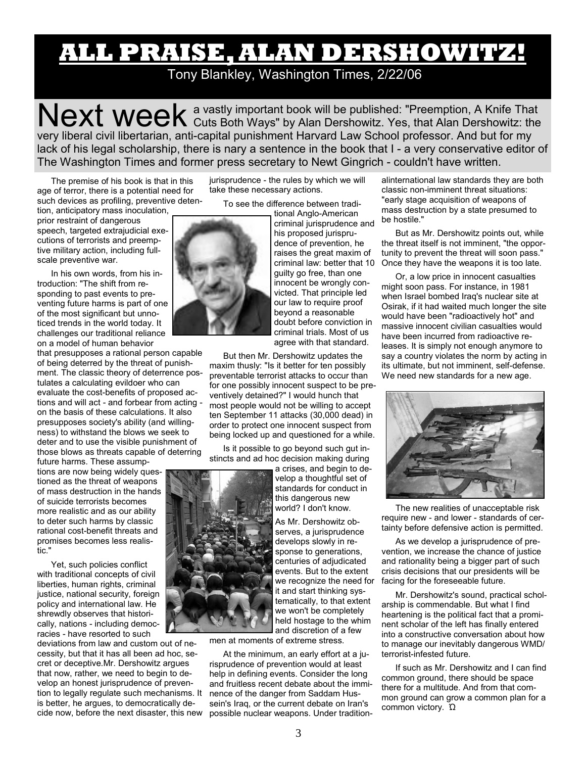# **ALL PRAISE, ALAN DERSHOWITZ!**

Tony Blankley, Washington Times, 2/22/06

Next week a vastly important book will be published: "Preemption, A Knife That Cuts Both Ways" by Alan Dershowitz. Yes, that Alan Dershowitz: the very liberal civil libertarian, anti-capital punishment Harvard Law School professor. And but for my lack of his legal scholarship, there is nary a sentence in the book that I - a very conservative editor of The Washington Times and former press secretary to Newt Gingrich - couldn't have written.

The premise of his book is that in this age of terror, there is a potential need for such devices as profiling, preventive deten-

tion, anticipatory mass inoculation, prior restraint of dangerous speech, targeted extrajudicial executions of terrorists and preemptive military action, including fullscale preventive war.

In his own words, from his introduction: "The shift from responding to past events to preventing future harms is part of one of the most significant but unnoticed trends in the world today. It challenges our traditional reliance on a model of human behavior

that presupposes a rational person capable of being deterred by the threat of punishment. The classic theory of deterrence postulates a calculating evildoer who can evaluate the cost-benefits of proposed actions and will act - and forbear from acting on the basis of these calculations. It also presupposes society's ability (and willingness) to withstand the blows we seek to deter and to use the visible punishment of those blows as threats capable of deterring

future harms. These assumptions are now being widely questioned as the threat of weapons of mass destruction in the hands of suicide terrorists becomes more realistic and as our ability to deter such harms by classic rational cost-benefit threats and promises becomes less realistic."

Yet, such policies conflict with traditional concepts of civil liberties, human rights, criminal justice, national security, foreign policy and international law. He shrewdly observes that historically, nations - including democracies - have resorted to such

deviations from law and custom out of necessity, but that it has all been ad hoc, secret or deceptive.Mr. Dershowitz argues that now, rather, we need to begin to develop an honest jurisprudence of prevention to legally regulate such mechanisms. It is better, he argues, to democratically decide now, before the next disaster, this new jurisprudence - the rules by which we will take these necessary actions.

To see the difference between tradi-

tional Anglo-American criminal jurisprudence and his proposed jurisprudence of prevention, he raises the great maxim of criminal law: better that 10 guilty go free, than one innocent be wrongly convicted. That principle led our law to require proof beyond a reasonable doubt before conviction in criminal trials. Most of us agree with that standard.

But then Mr. Dershowitz updates the maxim thusly: "Is it better for ten possibly preventable terrorist attacks to occur than for one possibly innocent suspect to be preventively detained?" I would hunch that most people would not be willing to accept ten September 11 attacks (30,000 dead) in order to protect one innocent suspect from being locked up and questioned for a while.

Is it possible to go beyond such gut instincts and ad hoc decision making during



men at moments of extreme stress.

At the minimum, an early effort at a jurisprudence of prevention would at least help in defining events. Consider the long and fruitless recent debate about the imminence of the danger from Saddam Hussein's Iraq, or the current debate on Iran's possible nuclear weapons. Under traditionalinternational law standards they are both classic non-imminent threat situations: "early stage acquisition of weapons of mass destruction by a state presumed to be hostile."

But as Mr. Dershowitz points out, while the threat itself is not imminent, "the opportunity to prevent the threat will soon pass." Once they have the weapons it is too late.

Or, a low price in innocent casualties might soon pass. For instance, in 1981 when Israel bombed Iraq's nuclear site at Osirak, if it had waited much longer the site would have been "radioactively hot" and massive innocent civilian casualties would have been incurred from radioactive releases. It is simply not enough anymore to say a country violates the norm by acting in its ultimate, but not imminent, self-defense. We need new standards for a new age.



The new realities of unacceptable risk require new - and lower - standards of certainty before defensive action is permitted.

As we develop a jurisprudence of prevention, we increase the chance of justice and rationality being a bigger part of such crisis decisions that our presidents will be facing for the foreseeable future.

Mr. Dershowitz's sound, practical scholarship is commendable. But what I find heartening is the political fact that a prominent scholar of the left has finally entered into a constructive conversation about how to manage our inevitably dangerous WMD/ terrorist-infested future.

If such as Mr. Dershowitz and I can find common ground, there should be space there for a multitude. And from that common ground can grow a common plan for a common victory. Ώ